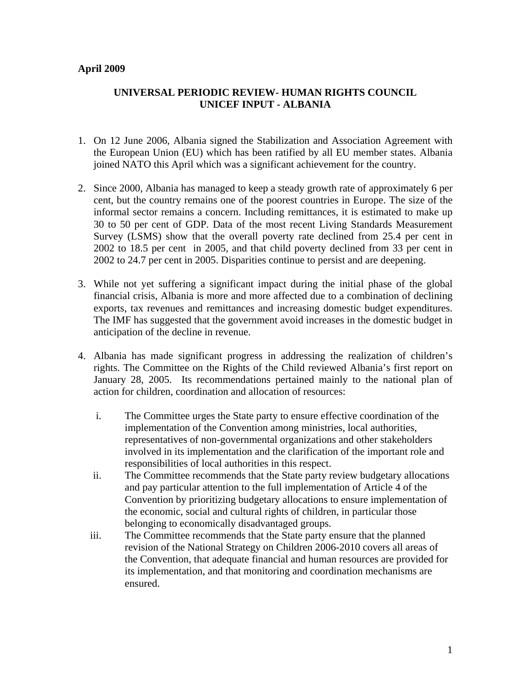## **April 2009**

## **UNIVERSAL PERIODIC REVIEW- HUMAN RIGHTS COUNCIL UNICEF INPUT - ALBANIA**

- 1. On 12 June 2006, Albania signed the Stabilization and Association Agreement with the European Union (EU) which has been ratified by all EU member states. Albania joined NATO this April which was a significant achievement for the country.
- 2. Since 2000, Albania has managed to keep a steady growth rate of approximately 6 per cent, but the country remains one of the poorest countries in Europe. The size of the informal sector remains a concern. Including remittances, it is estimated to make up 30 to 50 per cent of GDP. Data of the most recent Living Standards Measurement Survey (LSMS) show that the overall poverty rate declined from 25.4 per cent in 2002 to 18.5 per cent in 2005, and that child poverty declined from 33 per cent in 2002 to 24.7 per cent in 2005. Disparities continue to persist and are deepening.
- 3. While not yet suffering a significant impact during the initial phase of the global financial crisis, Albania is more and more affected due to a combination of declining exports, tax revenues and remittances and increasing domestic budget expenditures. The IMF has suggested that the government avoid increases in the domestic budget in anticipation of the decline in revenue.
- 4. Albania has made significant progress in addressing the realization of children's rights. The Committee on the Rights of the Child reviewed Albania's first report on January 28, 2005. Its recommendations pertained mainly to the national plan of action for children, coordination and allocation of resources:
	- i. The Committee urges the State party to ensure effective coordination of the implementation of the Convention among ministries, local authorities, representatives of non-governmental organizations and other stakeholders involved in its implementation and the clarification of the important role and responsibilities of local authorities in this respect.
	- ii. The Committee recommends that the State party review budgetary allocations and pay particular attention to the full implementation of Article 4 of the Convention by prioritizing budgetary allocations to ensure implementation of the economic, social and cultural rights of children, in particular those belonging to economically disadvantaged groups.
	- iii. The Committee recommends that the State party ensure that the planned revision of the National Strategy on Children 2006-2010 covers all areas of the Convention, that adequate financial and human resources are provided for its implementation, and that monitoring and coordination mechanisms are ensured.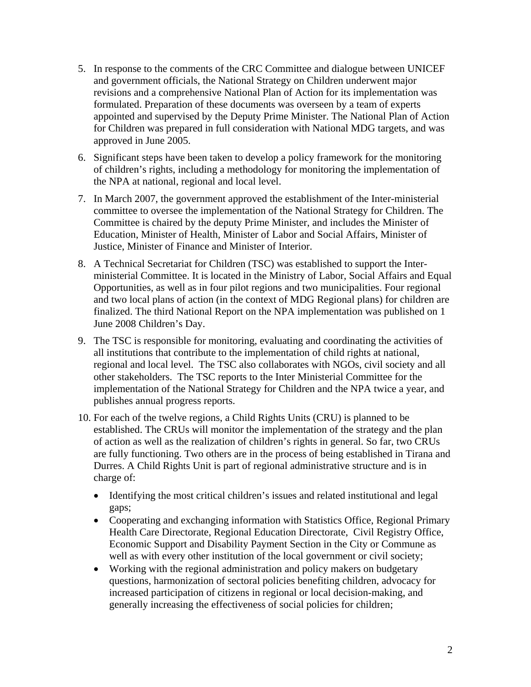- 5. In response to the comments of the CRC Committee and dialogue between UNICEF and government officials, the National Strategy on Children underwent major revisions and a comprehensive National Plan of Action for its implementation was formulated. Preparation of these documents was overseen by a team of experts appointed and supervised by the Deputy Prime Minister. The National Plan of Action for Children was prepared in full consideration with National MDG targets, and was approved in June 2005.
- 6. Significant steps have been taken to develop a policy framework for the monitoring of children's rights, including a methodology for monitoring the implementation of the NPA at national, regional and local level.
- 7. In March 2007, the government approved the establishment of the Inter-ministerial committee to oversee the implementation of the National Strategy for Children. The Committee is chaired by the deputy Prime Minister, and includes the Minister of Education, Minister of Health, Minister of Labor and Social Affairs, Minister of Justice, Minister of Finance and Minister of Interior.
- 8. A Technical Secretariat for Children (TSC) was established to support the Interministerial Committee. It is located in the Ministry of Labor, Social Affairs and Equal Opportunities, as well as in four pilot regions and two municipalities. Four regional and two local plans of action (in the context of MDG Regional plans) for children are finalized. The third National Report on the NPA implementation was published on 1 June 2008 Children's Day.
- 9. The TSC is responsible for monitoring, evaluating and coordinating the activities of all institutions that contribute to the implementation of child rights at national, regional and local level. The TSC also collaborates with NGOs, civil society and all other stakeholders. The TSC reports to the Inter Ministerial Committee for the implementation of the National Strategy for Children and the NPA twice a year, and publishes annual progress reports.
- 10. For each of the twelve regions, a Child Rights Units (CRU) is planned to be established. The CRUs will monitor the implementation of the strategy and the plan of action as well as the realization of children's rights in general. So far, two CRUs are fully functioning. Two others are in the process of being established in Tirana and Durres. A Child Rights Unit is part of regional administrative structure and is in charge of:
	- Identifying the most critical children's issues and related institutional and legal gaps;
	- Cooperating and exchanging information with Statistics Office, Regional Primary Health Care Directorate, Regional Education Directorate, Civil Registry Office, Economic Support and Disability Payment Section in the City or Commune as well as with every other institution of the local government or civil society;
	- Working with the regional administration and policy makers on budgetary questions, harmonization of sectoral policies benefiting children, advocacy for increased participation of citizens in regional or local decision-making, and generally increasing the effectiveness of social policies for children;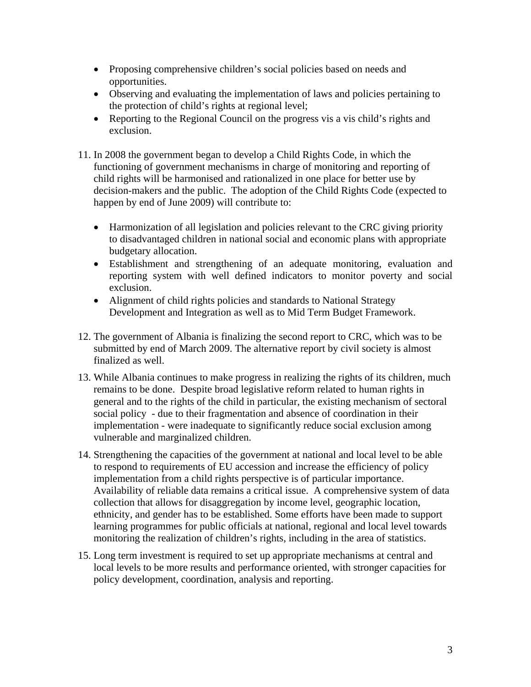- Proposing comprehensive children's social policies based on needs and opportunities.
- Observing and evaluating the implementation of laws and policies pertaining to the protection of child's rights at regional level;
- Reporting to the Regional Council on the progress vis a vis child's rights and exclusion.
- 11. In 2008 the government began to develop a Child Rights Code, in which the functioning of government mechanisms in charge of monitoring and reporting of child rights will be harmonised and rationalized in one place for better use by decision-makers and the public. The adoption of the Child Rights Code (expected to happen by end of June 2009) will contribute to:
	- Harmonization of all legislation and policies relevant to the CRC giving priority to disadvantaged children in national social and economic plans with appropriate budgetary allocation.
	- Establishment and strengthening of an adequate monitoring, evaluation and reporting system with well defined indicators to monitor poverty and social exclusion.
	- Alignment of child rights policies and standards to National Strategy Development and Integration as well as to Mid Term Budget Framework.
- 12. The government of Albania is finalizing the second report to CRC, which was to be submitted by end of March 2009. The alternative report by civil society is almost finalized as well.
- 13. While Albania continues to make progress in realizing the rights of its children, much remains to be done. Despite broad legislative reform related to human rights in general and to the rights of the child in particular, the existing mechanism of sectoral social policy - due to their fragmentation and absence of coordination in their implementation - were inadequate to significantly reduce social exclusion among vulnerable and marginalized children.
- 14. Strengthening the capacities of the government at national and local level to be able to respond to requirements of EU accession and increase the efficiency of policy implementation from a child rights perspective is of particular importance. Availability of reliable data remains a critical issue. A comprehensive system of data collection that allows for disaggregation by income level, geographic location, ethnicity, and gender has to be established. Some efforts have been made to support learning programmes for public officials at national, regional and local level towards monitoring the realization of children's rights, including in the area of statistics.
- 15. Long term investment is required to set up appropriate mechanisms at central and local levels to be more results and performance oriented, with stronger capacities for policy development, coordination, analysis and reporting.